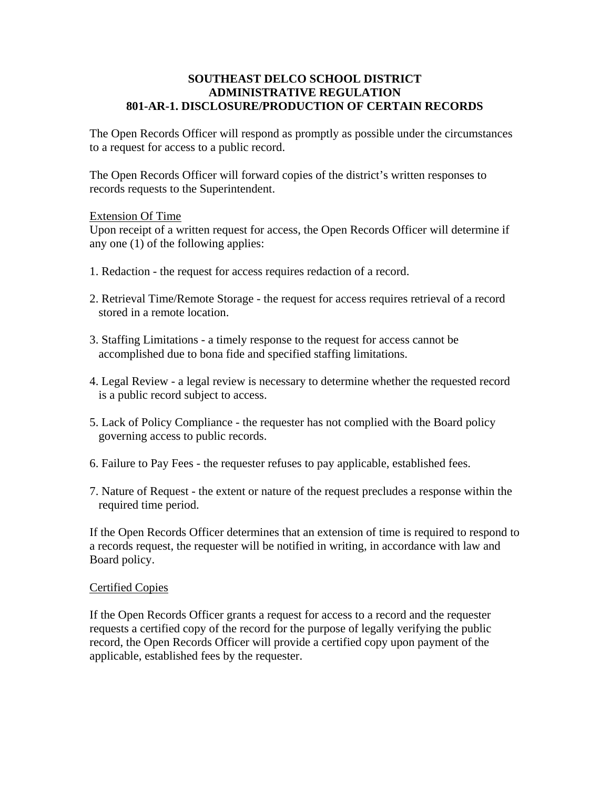### **SOUTHEAST DELCO SCHOOL DISTRICT ADMINISTRATIVE REGULATION 801-AR-1. DISCLOSURE/PRODUCTION OF CERTAIN RECORDS**

The Open Records Officer will respond as promptly as possible under the circumstances to a request for access to a public record.

The Open Records Officer will forward copies of the district's written responses to records requests to the Superintendent.

# Extension Of Time

Upon receipt of a written request for access, the Open Records Officer will determine if any one (1) of the following applies:

- 1. Redaction the request for access requires redaction of a record.
- 2. Retrieval Time/Remote Storage the request for access requires retrieval of a record stored in a remote location.
- 3. Staffing Limitations a timely response to the request for access cannot be accomplished due to bona fide and specified staffing limitations.
- 4. Legal Review a legal review is necessary to determine whether the requested record is a public record subject to access.
- 5. Lack of Policy Compliance the requester has not complied with the Board policy governing access to public records.
- 6. Failure to Pay Fees the requester refuses to pay applicable, established fees.
- 7. Nature of Request the extent or nature of the request precludes a response within the required time period.

If the Open Records Officer determines that an extension of time is required to respond to a records request, the requester will be notified in writing, in accordance with law and Board policy.

# Certified Copies

If the Open Records Officer grants a request for access to a record and the requester requests a certified copy of the record for the purpose of legally verifying the public record, the Open Records Officer will provide a certified copy upon payment of the applicable, established fees by the requester.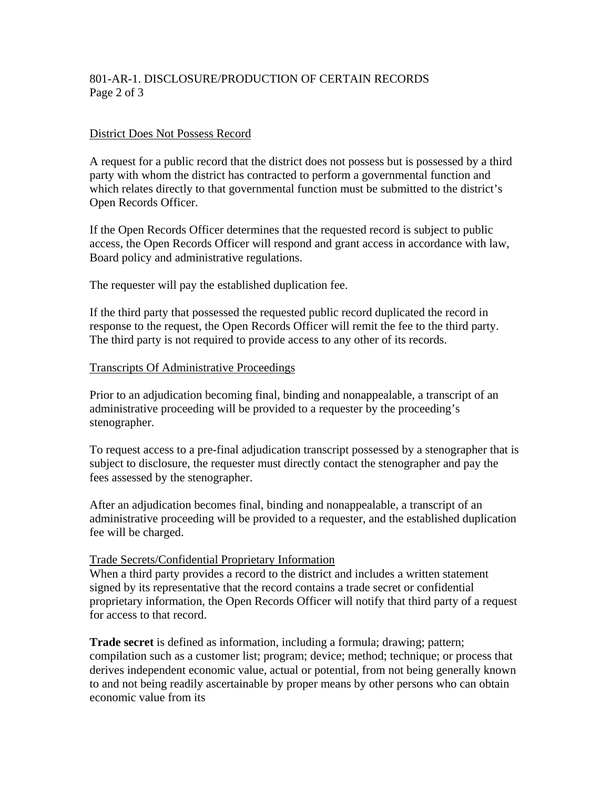# 801-AR-1. DISCLOSURE/PRODUCTION OF CERTAIN RECORDS Page 2 of 3

#### District Does Not Possess Record

A request for a public record that the district does not possess but is possessed by a third party with whom the district has contracted to perform a governmental function and which relates directly to that governmental function must be submitted to the district's Open Records Officer.

If the Open Records Officer determines that the requested record is subject to public access, the Open Records Officer will respond and grant access in accordance with law, Board policy and administrative regulations.

The requester will pay the established duplication fee.

If the third party that possessed the requested public record duplicated the record in response to the request, the Open Records Officer will remit the fee to the third party. The third party is not required to provide access to any other of its records.

#### Transcripts Of Administrative Proceedings

Prior to an adjudication becoming final, binding and nonappealable, a transcript of an administrative proceeding will be provided to a requester by the proceeding's stenographer.

To request access to a pre-final adjudication transcript possessed by a stenographer that is subject to disclosure, the requester must directly contact the stenographer and pay the fees assessed by the stenographer.

After an adjudication becomes final, binding and nonappealable, a transcript of an administrative proceeding will be provided to a requester, and the established duplication fee will be charged.

### Trade Secrets/Confidential Proprietary Information

When a third party provides a record to the district and includes a written statement signed by its representative that the record contains a trade secret or confidential proprietary information, the Open Records Officer will notify that third party of a request for access to that record.

**Trade secret** is defined as information, including a formula; drawing; pattern; compilation such as a customer list; program; device; method; technique; or process that derives independent economic value, actual or potential, from not being generally known to and not being readily ascertainable by proper means by other persons who can obtain economic value from its